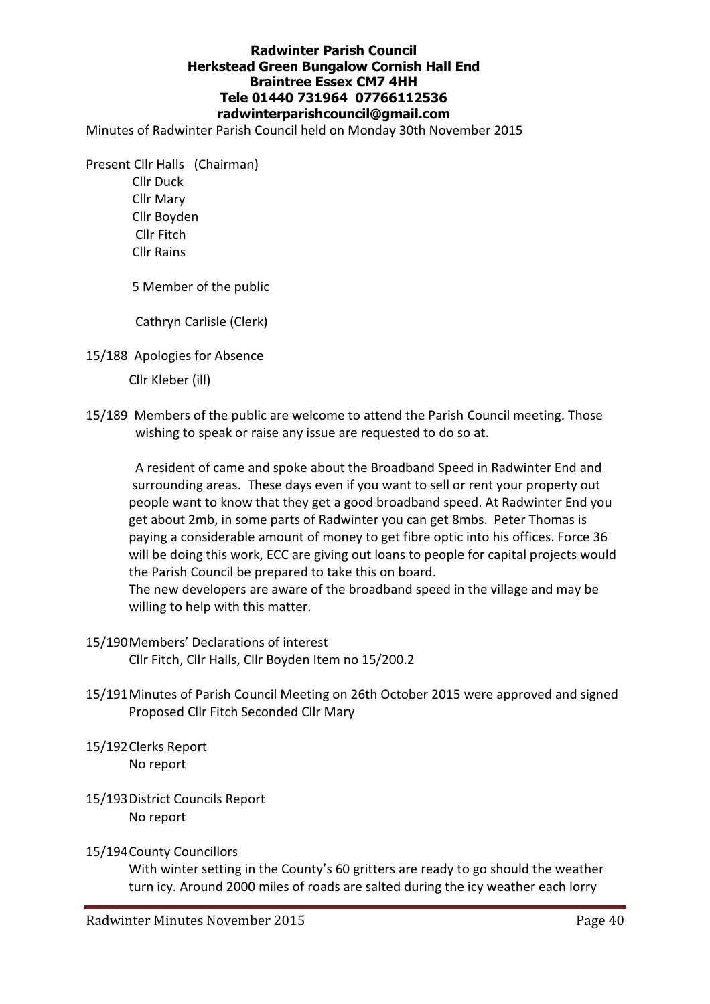## Radwinter Parish Council Herkstead Green Bungalow Cornish Hall End Braintree Essex CM7 4HH Tele 01440 731964 07766112536 radwinterparishcouncil@gmail.com

Minutes of Radwinter Parish Council held on Monday 30th November 2015

Present Cllr Halls (Chairman)

 Cllr Duck Cllr Mary Cllr Boyden Cllr Fitch Cllr Rains

5 Member of the public

Cathryn Carlisle (Clerk)

15/188 Apologies for Absence

Cllr Kleber (ill)

15/189 Members of the public are welcome to attend the Parish Council meeting. Those wishing to speak or raise any issue are requested to do so at.

 A resident of came and spoke about the Broadband Speed in Radwinter End and surrounding areas. These days even if you want to sell or rent your property out people want to know that they get a good broadband speed. At Radwinter End you get about 2mb, in some parts of Radwinter you can get 8mbs. Peter Thomas is paying a considerable amount of money to get fibre optic into his offices. Force 36 will be doing this work, ECC are giving out loans to people for capital projects would the Parish Council be prepared to take this on board.

 The new developers are aware of the broadband speed in the village and may be willing to help with this matter.

- 15/190 Members' Declarations of interest Cllr Fitch, Cllr Halls, Cllr Boyden Item no 15/200.2
- 15/191 Minutes of Parish Council Meeting on 26th October 2015 were approved and signed Proposed Cllr Fitch Seconded Cllr Mary
- 15/192 Clerks Report No report
- 15/193 District Councils Report No report

#### 15/194 County Councillors

 With winter setting in the County's 60 gritters are ready to go should the weather turn icy. Around 2000 miles of roads are salted during the icy weather each lorry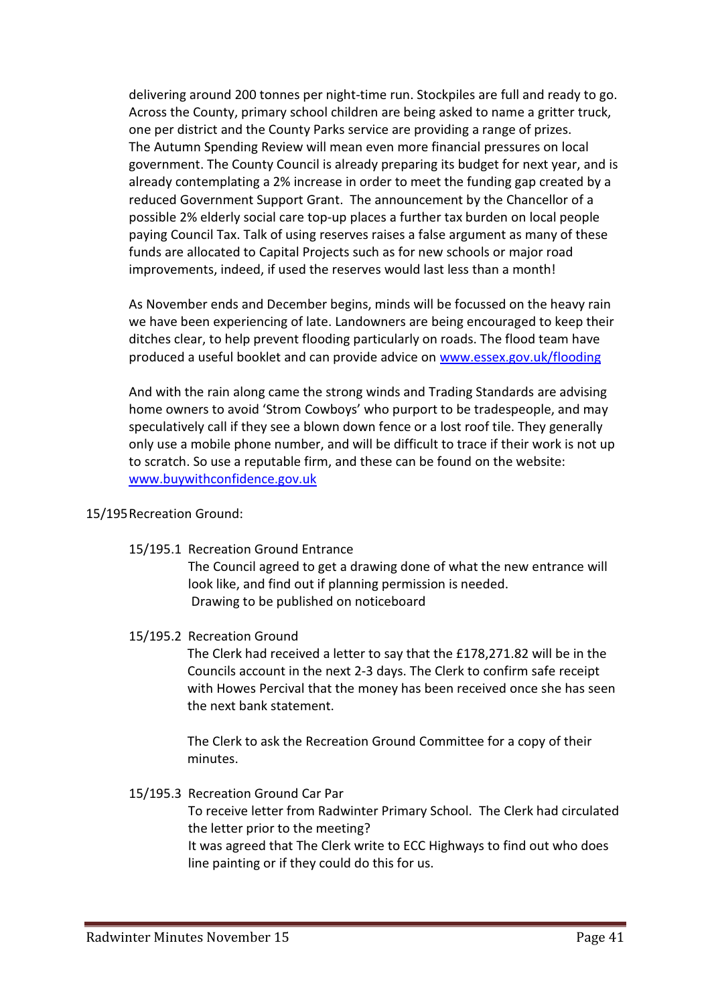delivering around 200 tonnes per night-time run. Stockpiles are full and ready to go. Across the County, primary school children are being asked to name a gritter truck, one per district and the County Parks service are providing a range of prizes. The Autumn Spending Review will mean even more financial pressures on local government. The County Council is already preparing its budget for next year, and is already contemplating a 2% increase in order to meet the funding gap created by a reduced Government Support Grant. The announcement by the Chancellor of a possible 2% elderly social care top-up places a further tax burden on local people paying Council Tax. Talk of using reserves raises a false argument as many of these funds are allocated to Capital Projects such as for new schools or major road improvements, indeed, if used the reserves would last less than a month!

 As November ends and December begins, minds will be focussed on the heavy rain we have been experiencing of late. Landowners are being encouraged to keep their ditches clear, to help prevent flooding particularly on roads. The flood team have produced a useful booklet and can provide advice on www.essex.gov.uk/flooding

 And with the rain along came the strong winds and Trading Standards are advising home owners to avoid 'Strom Cowboys' who purport to be tradespeople, and may speculatively call if they see a blown down fence or a lost roof tile. They generally only use a mobile phone number, and will be difficult to trace if their work is not up to scratch. So use a reputable firm, and these can be found on the website: www.buywithconfidence.gov.uk

# 15/195 Recreation Ground:

15/195.1 Recreation Ground Entrance

 The Council agreed to get a drawing done of what the new entrance will look like, and find out if planning permission is needed. Drawing to be published on noticeboard

15/195.2 Recreation Ground

 The Clerk had received a letter to say that the £178,271.82 will be in the Councils account in the next 2-3 days. The Clerk to confirm safe receipt with Howes Percival that the money has been received once she has seen the next bank statement.

 The Clerk to ask the Recreation Ground Committee for a copy of their minutes.

15/195.3 Recreation Ground Car Par

 To receive letter from Radwinter Primary School. The Clerk had circulated the letter prior to the meeting?

 It was agreed that The Clerk write to ECC Highways to find out who does line painting or if they could do this for us.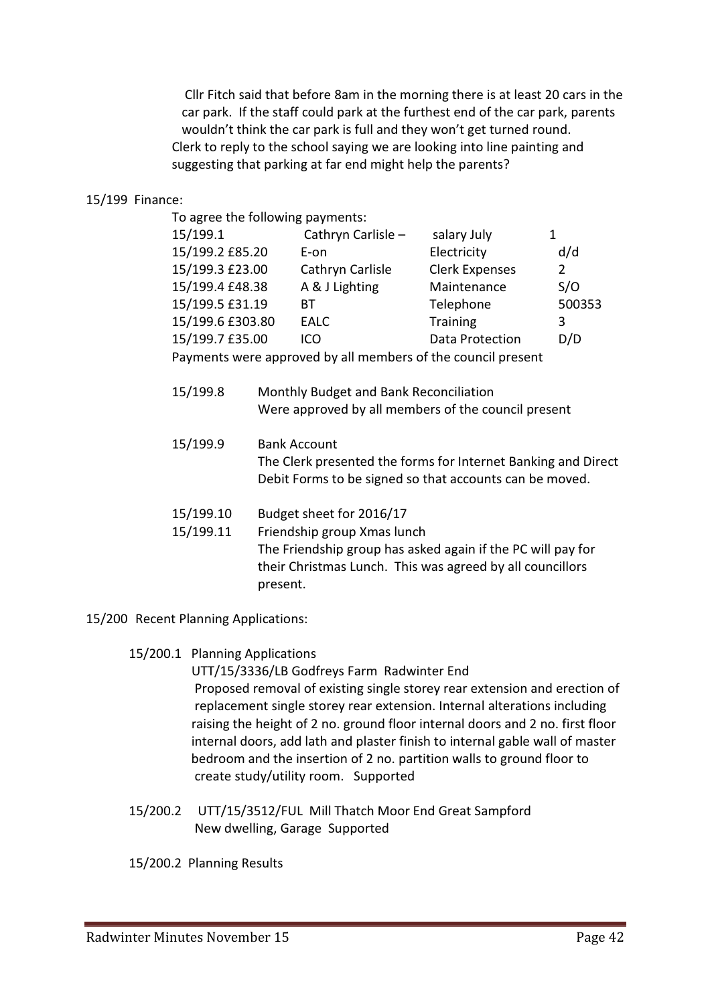Cllr Fitch said that before 8am in the morning there is at least 20 cars in the car park. If the staff could park at the furthest end of the car park, parents wouldn't think the car park is full and they won't get turned round. Clerk to reply to the school saying we are looking into line painting and suggesting that parking at far end might help the parents?

#### 15/199 Finance:

To agree the following payments:

| 15/199.1         | Cathryn Carlisle - | salary July           |        |
|------------------|--------------------|-----------------------|--------|
| 15/199.2 £85.20  | E-on               | Electricity           | d/d    |
| 15/199.3 £23.00  | Cathryn Carlisle   | <b>Clerk Expenses</b> |        |
| 15/199.4 £48.38  | A & J Lighting     | Maintenance           | S/O    |
| 15/199.5 £31.19  | <b>BT</b>          | Telephone             | 500353 |
| 15/199.6 £303.80 | <b>EALC</b>        | <b>Training</b>       | 3      |
| 15/199.7 £35.00  | ICO                | Data Protection       | D/D    |
|                  |                    |                       |        |

Payments were approved by all members of the council present

- 15/199.8 Monthly Budget and Bank Reconciliation Were approved by all members of the council present
- 15/199.9 Bank Account The Clerk presented the forms for Internet Banking and Direct Debit Forms to be signed so that accounts can be moved.
- 15/199.10 Budget sheet for 2016/17
- 15/199.11 Friendship group Xmas lunch The Friendship group has asked again if the PC will pay for their Christmas Lunch. This was agreed by all councillors present.
- 15/200 Recent Planning Applications:
	- 15/200.1 Planning Applications

 UTT/15/3336/LB Godfreys Farm Radwinter End Proposed removal of existing single storey rear extension and erection of replacement single storey rear extension. Internal alterations including raising the height of 2 no. ground floor internal doors and 2 no. first floor internal doors, add lath and plaster finish to internal gable wall of master bedroom and the insertion of 2 no. partition walls to ground floor to create study/utility room. Supported

 15/200.2 UTT/15/3512/FUL Mill Thatch Moor End Great Sampford New dwelling, Garage Supported

15/200.2 Planning Results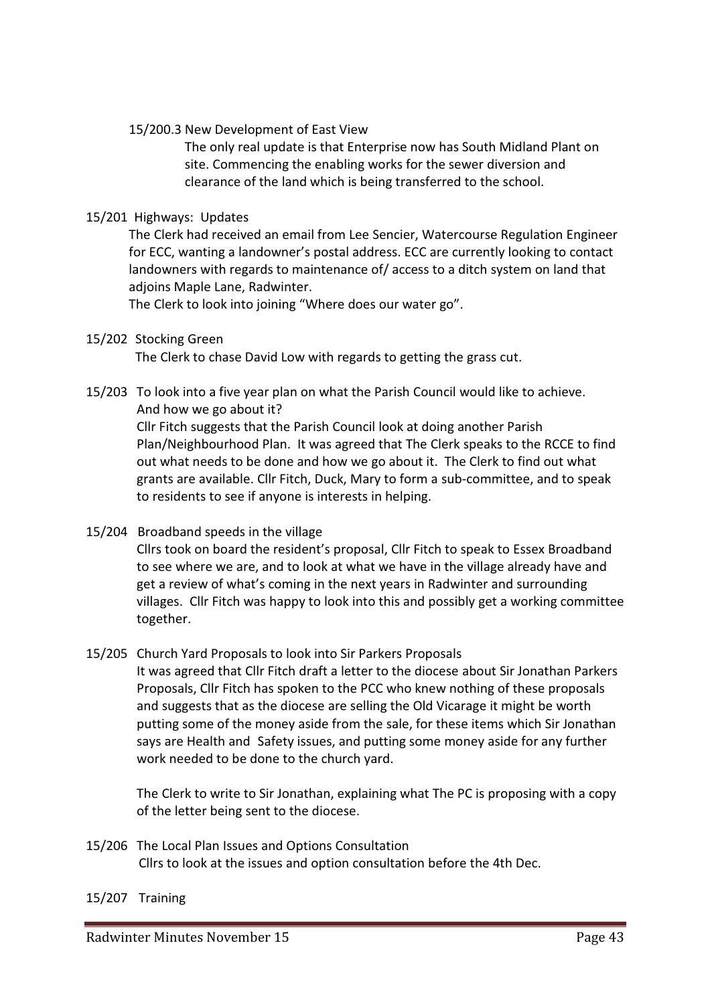15/200.3 New Development of East View

 The only real update is that Enterprise now has South Midland Plant on site. Commencing the enabling works for the sewer diversion and clearance of the land which is being transferred to the school.

## 15/201 Highways: Updates

 The Clerk had received an email from Lee Sencier, Watercourse Regulation Engineer for ECC, wanting a landowner's postal address. ECC are currently looking to contact landowners with regards to maintenance of/ access to a ditch system on land that adjoins Maple Lane, Radwinter.

The Clerk to look into joining "Where does our water go".

### 15/202 Stocking Green

The Clerk to chase David Low with regards to getting the grass cut.

# 15/203 To look into a five year plan on what the Parish Council would like to achieve. And how we go about it? Cllr Fitch suggests that the Parish Council look at doing another Parish

 Plan/Neighbourhood Plan. It was agreed that The Clerk speaks to the RCCE to find out what needs to be done and how we go about it. The Clerk to find out what grants are available. Cllr Fitch, Duck, Mary to form a sub-committee, and to speak to residents to see if anyone is interests in helping.

15/204 Broadband speeds in the village

 Cllrs took on board the resident's proposal, Cllr Fitch to speak to Essex Broadband to see where we are, and to look at what we have in the village already have and get a review of what's coming in the next years in Radwinter and surrounding villages. Cllr Fitch was happy to look into this and possibly get a working committee together.

# 15/205 Church Yard Proposals to look into Sir Parkers Proposals

 It was agreed that Cllr Fitch draft a letter to the diocese about Sir Jonathan Parkers Proposals, Cllr Fitch has spoken to the PCC who knew nothing of these proposals and suggests that as the diocese are selling the Old Vicarage it might be worth putting some of the money aside from the sale, for these items which Sir Jonathan says are Health and Safety issues, and putting some money aside for any further work needed to be done to the church yard.

 The Clerk to write to Sir Jonathan, explaining what The PC is proposing with a copy of the letter being sent to the diocese.

- 15/206 The Local Plan Issues and Options Consultation Cllrs to look at the issues and option consultation before the 4th Dec.
- 15/207 Training